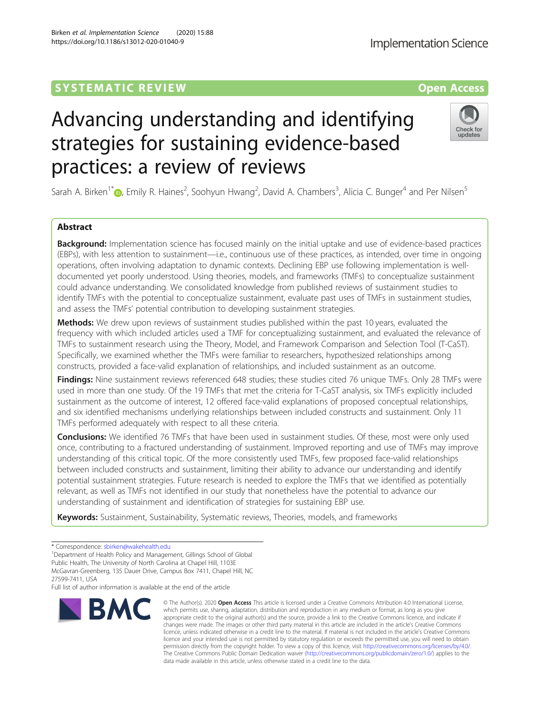# **SYSTEMATIC REVIEW ACCESS OPEN ACCESS**

# Advancing understanding and identifying strategies for sustaining evidence-based practices: a review of reviews

Sarah A. Birken<sup>1\*</sup> (**p**[,](http://orcid.org/0000-0002-0591-4800) Emily R. Haines<sup>2</sup>, Soohyun Hwang<sup>2</sup>, David A. Chambers<sup>3</sup>, Alicia C. Bunger<sup>4</sup> and Per Nilsen<sup>5</sup>

## Abstract

**Background:** Implementation science has focused mainly on the initial uptake and use of evidence-based practices (EBPs), with less attention to sustainment—i.e., continuous use of these practices, as intended, over time in ongoing operations, often involving adaptation to dynamic contexts. Declining EBP use following implementation is welldocumented yet poorly understood. Using theories, models, and frameworks (TMFs) to conceptualize sustainment could advance understanding. We consolidated knowledge from published reviews of sustainment studies to identify TMFs with the potential to conceptualize sustainment, evaluate past uses of TMFs in sustainment studies, and assess the TMFs' potential contribution to developing sustainment strategies.

Methods: We drew upon reviews of sustainment studies published within the past 10 years, evaluated the frequency with which included articles used a TMF for conceptualizing sustainment, and evaluated the relevance of TMFs to sustainment research using the Theory, Model, and Framework Comparison and Selection Tool (T-CaST). Specifically, we examined whether the TMFs were familiar to researchers, hypothesized relationships among constructs, provided a face-valid explanation of relationships, and included sustainment as an outcome.

Findings: Nine sustainment reviews referenced 648 studies; these studies cited 76 unique TMFs. Only 28 TMFs were used in more than one study. Of the 19 TMFs that met the criteria for T-CaST analysis, six TMFs explicitly included sustainment as the outcome of interest, 12 offered face-valid explanations of proposed conceptual relationships, and six identified mechanisms underlying relationships between included constructs and sustainment. Only 11 TMFs performed adequately with respect to all these criteria.

**Conclusions:** We identified 76 TMFs that have been used in sustainment studies. Of these, most were only used once, contributing to a fractured understanding of sustainment. Improved reporting and use of TMFs may improve understanding of this critical topic. Of the more consistently used TMFs, few proposed face-valid relationships between included constructs and sustainment, limiting their ability to advance our understanding and identify potential sustainment strategies. Future research is needed to explore the TMFs that we identified as potentially relevant, as well as TMFs not identified in our study that nonetheless have the potential to advance our understanding of sustainment and identification of strategies for sustaining EBP use.

Keywords: Sustainment, Sustainability, Systematic reviews, Theories, models, and frameworks

27599-7411, USA

Full list of author information is available at the end of the article

# Birken et al. Implementation Science (2020) 15:88 https://doi.org/10.1186/s13012-020-01040-9

which permits use, sharing, adaptation, distribution and reproduction in any medium or format, as long as you give appropriate credit to the original author(s) and the source, provide a link to the Creative Commons licence, and indicate if changes were made. The images or other third party material in this article are included in the article's Creative Commons licence, unless indicated otherwise in a credit line to the material. If material is not included in the article's Creative Commons licence and your intended use is not permitted by statutory regulation or exceeds the permitted use, you will need to obtain permission directly from the copyright holder. To view a copy of this licence, visit [http://creativecommons.org/licenses/by/4.0/.](http://creativecommons.org/licenses/by/4.0/) The Creative Commons Public Domain Dedication waiver [\(http://creativecommons.org/publicdomain/zero/1.0/](http://creativecommons.org/publicdomain/zero/1.0/)) applies to the data made available in this article, unless otherwise stated in a credit line to the data.

© The Author(s), 2020 **Open Access** This article is licensed under a Creative Commons Attribution 4.0 International License,



Check for updates



<sup>\*</sup> Correspondence: [sbirken@wakehealth.edu](mailto:sbirken@wakehealth.edu) <sup>1</sup>

<sup>&</sup>lt;sup>1</sup>Department of Health Policy and Management, Gillings School of Global Public Health, The University of North Carolina at Chapel Hill, 1103E McGavran-Greenberg, 135 Dauer Drive, Campus Box 7411, Chapel Hill, NC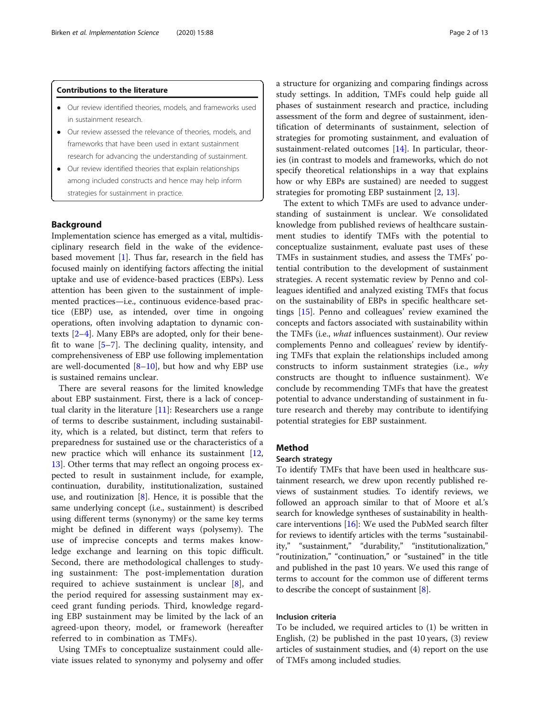## Contributions to the literature

- Our review identified theories, models, and frameworks used in sustainment research.
- Our review assessed the relevance of theories, models, and frameworks that have been used in extant sustainment research for advancing the understanding of sustainment.
- Our review identified theories that explain relationships among included constructs and hence may help inform strategies for sustainment in practice.

## Background

Implementation science has emerged as a vital, multidisciplinary research field in the wake of the evidencebased movement  $[1]$  $[1]$ . Thus far, research in the field has focused mainly on identifying factors affecting the initial uptake and use of evidence-based practices (EBPs). Less attention has been given to the sustainment of implemented practices—i.e., continuous evidence-based practice (EBP) use, as intended, over time in ongoing operations, often involving adaptation to dynamic contexts [\[2](#page-11-0)–[4](#page-11-0)]. Many EBPs are adopted, only for their benefit to wane  $[5-7]$  $[5-7]$  $[5-7]$  $[5-7]$ . The declining quality, intensity, and comprehensiveness of EBP use following implementation are well-documented  $[8-10]$  $[8-10]$  $[8-10]$ , but how and why EBP use is sustained remains unclear.

There are several reasons for the limited knowledge about EBP sustainment. First, there is a lack of conceptual clarity in the literature  $[11]$  $[11]$ : Researchers use a range of terms to describe sustainment, including sustainability, which is a related, but distinct, term that refers to preparedness for sustained use or the characteristics of a new practice which will enhance its sustainment [[12](#page-11-0), [13\]](#page-11-0). Other terms that may reflect an ongoing process expected to result in sustainment include, for example, continuation, durability, institutionalization, sustained use, and routinization  $[8]$ . Hence, it is possible that the same underlying concept (i.e., sustainment) is described using different terms (synonymy) or the same key terms might be defined in different ways (polysemy). The use of imprecise concepts and terms makes knowledge exchange and learning on this topic difficult. Second, there are methodological challenges to studying sustainment: The post-implementation duration required to achieve sustainment is unclear [[8\]](#page-11-0), and the period required for assessing sustainment may exceed grant funding periods. Third, knowledge regarding EBP sustainment may be limited by the lack of an agreed-upon theory, model, or framework (hereafter referred to in combination as TMFs).

Using TMFs to conceptualize sustainment could alleviate issues related to synonymy and polysemy and offer a structure for organizing and comparing findings across study settings. In addition, TMFs could help guide all phases of sustainment research and practice, including assessment of the form and degree of sustainment, identification of determinants of sustainment, selection of strategies for promoting sustainment, and evaluation of sustainment-related outcomes [\[14\]](#page-12-0). In particular, theories (in contrast to models and frameworks, which do not specify theoretical relationships in a way that explains how or why EBPs are sustained) are needed to suggest strategies for promoting EBP sustainment [[2,](#page-11-0) [13\]](#page-11-0).

The extent to which TMFs are used to advance understanding of sustainment is unclear. We consolidated knowledge from published reviews of healthcare sustainment studies to identify TMFs with the potential to conceptualize sustainment, evaluate past uses of these TMFs in sustainment studies, and assess the TMFs' potential contribution to the development of sustainment strategies. A recent systematic review by Penno and colleagues identified and analyzed existing TMFs that focus on the sustainability of EBPs in specific healthcare settings [\[15](#page-12-0)]. Penno and colleagues' review examined the concepts and factors associated with sustainability within the TMFs (i.e., what influences sustainment). Our review complements Penno and colleagues' review by identifying TMFs that explain the relationships included among constructs to inform sustainment strategies (i.e., why constructs are thought to influence sustainment). We conclude by recommending TMFs that have the greatest potential to advance understanding of sustainment in future research and thereby may contribute to identifying potential strategies for EBP sustainment.

## Method

#### Search strategy

To identify TMFs that have been used in healthcare sustainment research, we drew upon recently published reviews of sustainment studies. To identify reviews, we followed an approach similar to that of Moore et al.'s search for knowledge syntheses of sustainability in healthcare interventions [[16](#page-12-0)]: We used the PubMed search filter for reviews to identify articles with the terms "sustainability," "sustainment," "durability," "institutionalization," "routinization," "continuation," or "sustained" in the title and published in the past 10 years. We used this range of terms to account for the common use of different terms to describe the concept of sustainment [\[8\]](#page-11-0).

## Inclusion criteria

To be included, we required articles to (1) be written in English, (2) be published in the past 10 years, (3) review articles of sustainment studies, and (4) report on the use of TMFs among included studies.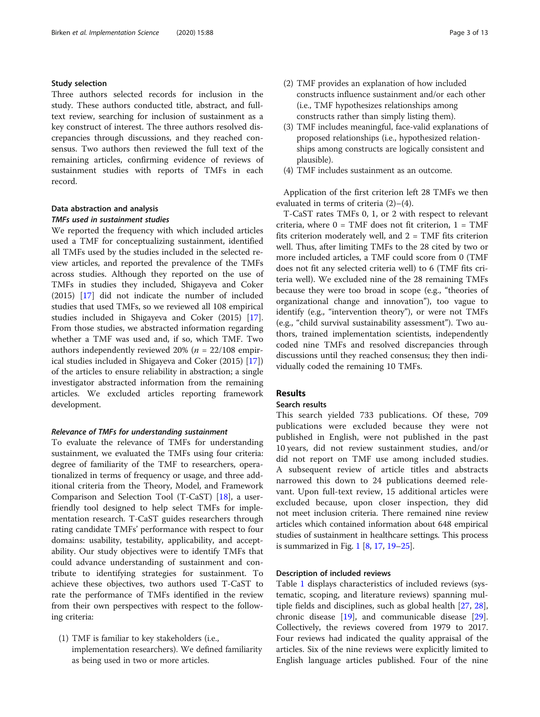## Study selection

Three authors selected records for inclusion in the study. These authors conducted title, abstract, and fulltext review, searching for inclusion of sustainment as a key construct of interest. The three authors resolved discrepancies through discussions, and they reached consensus. Two authors then reviewed the full text of the remaining articles, confirming evidence of reviews of sustainment studies with reports of TMFs in each record.

## Data abstraction and analysis TMFs used in sustainment studies

We reported the frequency with which included articles used a TMF for conceptualizing sustainment, identified all TMFs used by the studies included in the selected review articles, and reported the prevalence of the TMFs across studies. Although they reported on the use of TMFs in studies they included, Shigayeva and Coker (2015) [\[17](#page-12-0)] did not indicate the number of included studies that used TMFs, so we reviewed all 108 empirical studies included in Shigayeva and Coker (2015) [\[17](#page-12-0)]. From those studies, we abstracted information regarding whether a TMF was used and, if so, which TMF. Two authors independently reviewed 20% ( $n = 22/108$  empirical studies included in Shigayeva and Coker (2015) [\[17](#page-12-0)]) of the articles to ensure reliability in abstraction; a single investigator abstracted information from the remaining articles. We excluded articles reporting framework development.

## Relevance of TMFs for understanding sustainment

To evaluate the relevance of TMFs for understanding sustainment, we evaluated the TMFs using four criteria: degree of familiarity of the TMF to researchers, operationalized in terms of frequency or usage, and three additional criteria from the Theory, Model, and Framework Comparison and Selection Tool (T-CaST) [[18\]](#page-12-0), a userfriendly tool designed to help select TMFs for implementation research. T-CaST guides researchers through rating candidate TMFs' performance with respect to four domains: usability, testability, applicability, and acceptability. Our study objectives were to identify TMFs that could advance understanding of sustainment and contribute to identifying strategies for sustainment. To achieve these objectives, two authors used T-CaST to rate the performance of TMFs identified in the review from their own perspectives with respect to the following criteria:

(1) TMF is familiar to key stakeholders (i.e., implementation researchers). We defined familiarity as being used in two or more articles.

- (2) TMF provides an explanation of how included constructs influence sustainment and/or each other (i.e., TMF hypothesizes relationships among constructs rather than simply listing them).
- (3) TMF includes meaningful, face-valid explanations of proposed relationships (i.e., hypothesized relationships among constructs are logically consistent and plausible).
- (4) TMF includes sustainment as an outcome.

Application of the first criterion left 28 TMFs we then evaluated in terms of criteria (2)–(4).

T-CaST rates TMFs 0, 1, or 2 with respect to relevant criteria, where  $0 = TMF$  does not fit criterion,  $1 = TMF$ fits criterion moderately well, and  $2 = TMF$  fits criterion well. Thus, after limiting TMFs to the 28 cited by two or more included articles, a TMF could score from 0 (TMF does not fit any selected criteria well) to 6 (TMF fits criteria well). We excluded nine of the 28 remaining TMFs because they were too broad in scope (e.g., "theories of organizational change and innovation"), too vague to identify (e.g., "intervention theory"), or were not TMFs (e.g., "child survival sustainability assessment"). Two authors, trained implementation scientists, independently coded nine TMFs and resolved discrepancies through discussions until they reached consensus; they then individually coded the remaining 10 TMFs.

## Results

## Search results

This search yielded 733 publications. Of these, 709 publications were excluded because they were not published in English, were not published in the past 10 years, did not review sustainment studies, and/or did not report on TMF use among included studies. A subsequent review of article titles and abstracts narrowed this down to 24 publications deemed relevant. Upon full-text review, 15 additional articles were excluded because, upon closer inspection, they did not meet inclusion criteria. There remained nine review articles which contained information about 648 empirical studies of sustainment in healthcare settings. This process is summarized in Fig. [1](#page-3-0) [\[8,](#page-11-0) [17](#page-12-0), [19](#page-12-0)–[25](#page-12-0)].

## Description of included reviews

Table [1](#page-4-0) displays characteristics of included reviews (systematic, scoping, and literature reviews) spanning multiple fields and disciplines, such as global health [\[27](#page-12-0), [28](#page-12-0)], chronic disease [[19\]](#page-12-0), and communicable disease [\[29](#page-12-0)]. Collectively, the reviews covered from 1979 to 2017. Four reviews had indicated the quality appraisal of the articles. Six of the nine reviews were explicitly limited to English language articles published. Four of the nine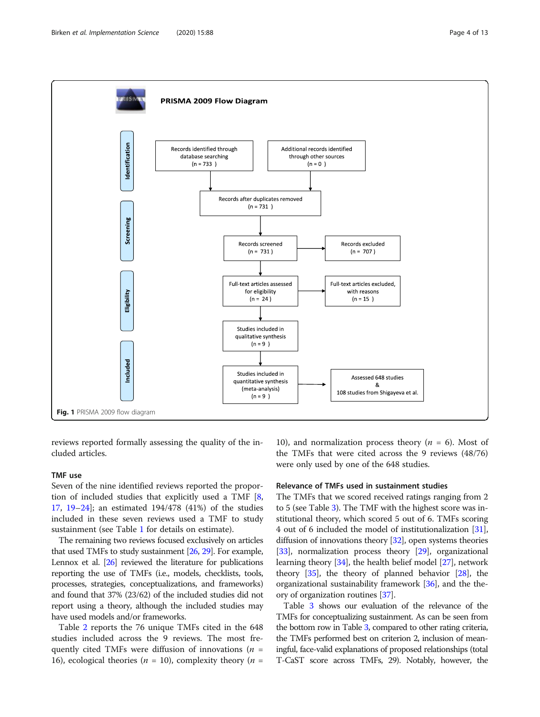<span id="page-3-0"></span>

reviews reported formally assessing the quality of the included articles.

## TMF use

Seven of the nine identified reviews reported the proportion of included studies that explicitly used a TMF [\[8](#page-11-0), [17,](#page-12-0) [19](#page-12-0)–[24\]](#page-12-0); an estimated 194/478 (41%) of the studies included in these seven reviews used a TMF to study sustainment (see Table [1](#page-4-0) for details on estimate).

The remaining two reviews focused exclusively on articles that used TMFs to study sustainment [\[26](#page-12-0), [29](#page-12-0)]. For example, Lennox et al. [\[26](#page-12-0)] reviewed the literature for publications reporting the use of TMFs (i.e., models, checklists, tools, processes, strategies, conceptualizations, and frameworks) and found that 37% (23/62) of the included studies did not report using a theory, although the included studies may have used models and/or frameworks.

Table [2](#page-5-0) reports the 76 unique TMFs cited in the 648 studies included across the 9 reviews. The most frequently cited TMFs were diffusion of innovations ( $n =$ 16), ecological theories ( $n = 10$ ), complexity theory ( $n =$ 

10), and normalization process theory ( $n = 6$ ). Most of the TMFs that were cited across the 9 reviews (48/76) were only used by one of the 648 studies.

## Relevance of TMFs used in sustainment studies

The TMFs that we scored received ratings ranging from 2 to 5 (see Table [3\)](#page-7-0). The TMF with the highest score was institutional theory, which scored 5 out of 6. TMFs scoring 4 out of 6 included the model of institutionalization [[31](#page-12-0)], diffusion of innovations theory [\[32\]](#page-12-0), open systems theories [[33](#page-12-0)], normalization process theory [\[29\]](#page-12-0), organizational learning theory [[34](#page-12-0)], the health belief model [[27](#page-12-0)], network theory [\[35\]](#page-12-0), the theory of planned behavior [\[28\]](#page-12-0), the organizational sustainability framework [[36\]](#page-12-0), and the theory of organization routines [[37](#page-12-0)].

Table [3](#page-7-0) shows our evaluation of the relevance of the TMFs for conceptualizing sustainment. As can be seen from the bottom row in Table [3](#page-7-0), compared to other rating criteria, the TMFs performed best on criterion 2, inclusion of meaningful, face-valid explanations of proposed relationships (total T-CaST score across TMFs, 29). Notably, however, the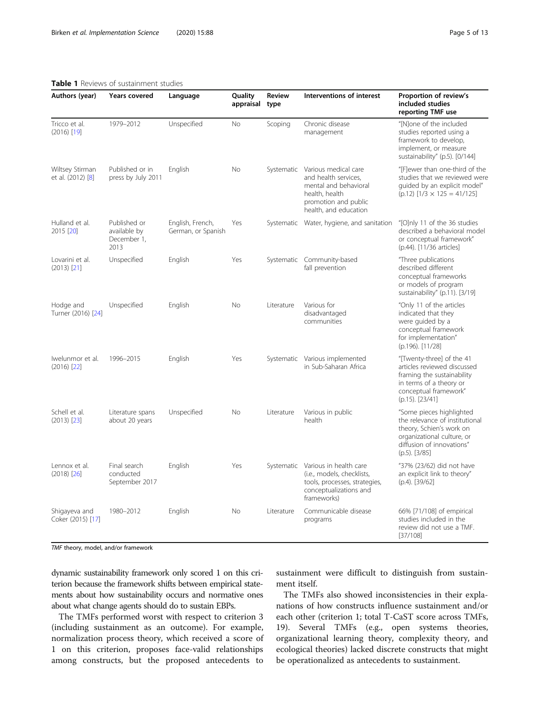## <span id="page-4-0"></span>Table 1 Reviews of sustainment studies

| Authors (year)                       | <b>Years covered</b>                                | Language                               | Quality<br>appraisal | <b>Review</b><br>type | Interventions of interest                                                                                                                           | Proportion of review's<br>included studies<br>reporting TMF use                                                                                                       |
|--------------------------------------|-----------------------------------------------------|----------------------------------------|----------------------|-----------------------|-----------------------------------------------------------------------------------------------------------------------------------------------------|-----------------------------------------------------------------------------------------------------------------------------------------------------------------------|
| Tricco et al.<br>$(2016)$ [19]       | 1979-2012                                           | Unspecified                            | No                   | Scoping               | Chronic disease<br>management                                                                                                                       | "[N]one of the included<br>studies reported using a<br>framework to develop,<br>implement, or measure<br>sustainability" (p.5). [0/144]                               |
| Wiltsey Stirman<br>et al. (2012) [8] | Published or in<br>press by July 2011               | English                                | <b>No</b>            |                       | Systematic Various medical care<br>and health services,<br>mental and behavioral<br>health, health<br>promotion and public<br>health, and education | "[F]ewer than one-third of the<br>studies that we reviewed were<br>quided by an explicit model"<br>$(p.12)$ [1/3 $\times$ 125 = 41/125]                               |
| Hulland et al.<br>2015 [20]          | Published or<br>available by<br>December 1,<br>2013 | English, French,<br>German, or Spanish | Yes                  |                       | Systematic Water, hygiene, and sanitation                                                                                                           | "[O]nly 11 of the 36 studies<br>described a behavioral model<br>or conceptual framework"<br>(p.44). [11/36 articles]                                                  |
| Lovarini et al.<br>$(2013)$ $[21]$   | Unspecified                                         | English                                | Yes                  |                       | Systematic Community-based<br>fall prevention                                                                                                       | "Three publications<br>described different<br>conceptual frameworks<br>or models of program<br>sustainability" (p.11). [3/19]                                         |
| Hodge and<br>Turner (2016) [24]      | Unspecified                                         | English                                | <b>No</b>            | Literature            | Various for<br>disadvantaged<br>communities                                                                                                         | "Only 11 of the articles<br>indicated that they<br>were quided by a<br>conceptual framework<br>for implementation"<br>(p.196). [11/28]                                |
| Iwelunmor et al.<br>$(2016)$ [22]    | 1996-2015                                           | English                                | Yes                  |                       | Systematic Various implemented<br>in Sub-Saharan Africa                                                                                             | "[Twenty-three] of the 41<br>articles reviewed discussed<br>framing the sustainability<br>in terms of a theory or<br>conceptual framework"<br>$(p.15)$ . $[23/41]$    |
| Schell et al.<br>$(2013)$ $[23]$     | Literature spans<br>about 20 years                  | Unspecified                            | <b>No</b>            | Literature            | Various in public<br>health                                                                                                                         | "Some pieces highlighted<br>the relevance of institutional<br>theory, Schien's work on<br>organizational culture, or<br>diffusion of innovations"<br>$(p.5)$ . [3/85] |
| Lennox et al.<br>$(2018)$ [26]       | Final search<br>conducted<br>September 2017         | English                                | Yes                  |                       | Systematic Various in health care<br>(i.e., models, checklists,<br>tools, processes, strategies,<br>conceptualizations and<br>frameworks)           | "37% (23/62) did not have<br>an explicit link to theory"<br>(p.4). [39/62]                                                                                            |

1980–2012 English No Literature Communicable disease

TMF theory, model, and/or framework

Shigayeva and Coker (2015) [\[17\]](#page-12-0)

dynamic sustainability framework only scored 1 on this criterion because the framework shifts between empirical statements about how sustainability occurs and normative ones about what change agents should do to sustain EBPs.

The TMFs performed worst with respect to criterion 3 (including sustainment as an outcome). For example, normalization process theory, which received a score of 1 on this criterion, proposes face-valid relationships among constructs, but the proposed antecedents to

sustainment were difficult to distinguish from sustainment itself.

66% [71/108] of empirical studies included in the review did not use a TMF.

[37/108]

programs

The TMFs also showed inconsistencies in their explanations of how constructs influence sustainment and/or each other (criterion 1; total T-CaST score across TMFs, 19). Several TMFs (e.g., open systems theories, organizational learning theory, complexity theory, and ecological theories) lacked discrete constructs that might be operationalized as antecedents to sustainment.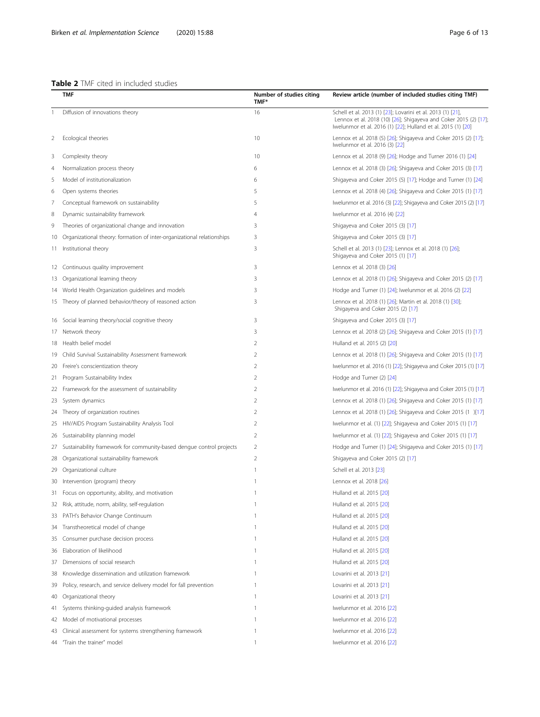## <span id="page-5-0"></span>Table 2 TMF cited in included studies

|     | <b>TMF</b>                                                             | Number of studies citing<br>TMF* | Review article (number of included studies citing TMF)                                                                                                                                          |
|-----|------------------------------------------------------------------------|----------------------------------|-------------------------------------------------------------------------------------------------------------------------------------------------------------------------------------------------|
|     | Diffusion of innovations theory                                        | 16                               | Schell et al. 2013 (1) [23]; Lovarini et al. 2013 (1) [21],<br>Lennox et al. 2018 (10) [26]; Shigayeva and Coker 2015 (2) [17];<br>Iwelunmor et al. 2016 (1) [22]; Hulland et al. 2015 (1) [20] |
| 2   | Ecological theories                                                    | 10                               | Lennox et al. 2018 (5) [26]; Shigayeva and Coker 2015 (2) [17];<br>Iwelunmor et al. 2016 (3) [22]                                                                                               |
| 3   | Complexity theory                                                      | 10                               | Lennox et al. 2018 (9) [26]; Hodge and Turner 2016 (1) [24]                                                                                                                                     |
| 4   | Normalization process theory                                           | 6                                | Lennox et al. 2018 (3) [26]; Shigayeva and Coker 2015 (3) [17]                                                                                                                                  |
| 5   | Model of institutionalization                                          | 6                                | Shigayeva and Coker 2015 (5) [17]; Hodge and Turner (1) [24]                                                                                                                                    |
| 6   | Open systems theories                                                  | 5                                | Lennox et al. 2018 (4) [26]; Shigayeva and Coker 2015 (1) [17]                                                                                                                                  |
| 7   | Conceptual framework on sustainability                                 | 5                                | Iwelunmor et al. 2016 (3) [22]; Shigayeva and Coker 2015 (2) [17]                                                                                                                               |
| 8   | Dynamic sustainability framework                                       | 4                                | Iwelunmor et al. 2016 (4) [22]                                                                                                                                                                  |
| 9   | Theories of organizational change and innovation                       | 3                                | Shigayeva and Coker 2015 (3) [17]                                                                                                                                                               |
| 10  | Organizational theory: formation of inter-organizational relationships | 3                                | Shigayeva and Coker 2015 (3) [17]                                                                                                                                                               |
| 11. | Institutional theory                                                   | 3                                | Schell et al. 2013 (1) [23]; Lennox et al. 2018 (1) [26];<br>Shigayeva and Coker 2015 (1) [17]                                                                                                  |
|     | 12 Continuous quality improvement                                      | 3                                | Lennox et al. 2018 (3) [26]                                                                                                                                                                     |
|     | 13 Organizational learning theory                                      | 3                                | Lennox et al. 2018 (1) [26]; Shigayeva and Coker 2015 (2) [17]                                                                                                                                  |
|     | 14 World Health Organization guidelines and models                     | 3                                | Hodge and Turner (1) [24]; Iwelunmor et al. 2016 (2) [22]                                                                                                                                       |
|     | 15 Theory of planned behavior/theory of reasoned action                | 3                                | Lennox et al. 2018 (1) [26]; Martin et al. 2018 (1) [30];<br>Shigayeva and Coker 2015 (2) [17]                                                                                                  |
|     | 16 Social learning theory/social cognitive theory                      | 3                                | Shigayeva and Coker 2015 (3) [17]                                                                                                                                                               |
|     | 17 Network theory                                                      | 3                                | Lennox et al. 2018 (2) [26]; Shigayeva and Coker 2015 (1) [17]                                                                                                                                  |
| 18  | Health belief model                                                    | 2                                | Hulland et al. 2015 (2) [20]                                                                                                                                                                    |
| 19  | Child Survival Sustainability Assessment framework                     | 2                                | Lennox et al. 2018 (1) [26]; Shigayeva and Coker 2015 (1) [17]                                                                                                                                  |
|     | 20 Freire's conscientization theory                                    | 2                                | Iwelunmor et al. 2016 (1) [22]; Shigayeva and Coker 2015 (1) [17]                                                                                                                               |
| 21  | Program Sustainability Index                                           | 2                                | Hodge and Turner (2) [24]                                                                                                                                                                       |
| 22  | Framework for the assessment of sustainability                         | 2                                | Iwelunmor et al. 2016 (1) [22]; Shigayeva and Coker 2015 (1) [17]                                                                                                                               |
| 23  | System dynamics                                                        | $\overline{2}$                   | Lennox et al. 2018 (1) [26]; Shigayeva and Coker 2015 (1) [17]                                                                                                                                  |
| 24  | Theory of organization routines                                        | 2                                | Lennox et al. 2018 (1) [26]; Shigayeva and Coker 2015 (1 )[17]                                                                                                                                  |
| 25  | HIV/AIDS Program Sustainability Analysis Tool                          | 2                                | Iwelunmor et al. (1) [22]; Shigayeva and Coker 2015 (1) [17]                                                                                                                                    |
| 26  | Sustainability planning model                                          | $\overline{2}$                   | Iwelunmor et al. (1) [22]; Shigayeva and Coker 2015 (1) [17]                                                                                                                                    |
| 27  | Sustainability framework for community-based dengue control projects   | 2                                | Hodge and Turner (1) [24]; Shigayeva and Coker 2015 (1) [17]                                                                                                                                    |
| 28  | Organizational sustainability framework                                | $\overline{2}$                   | Shigayeva and Coker 2015 (2) [17]                                                                                                                                                               |
| 29  | Organizational culture                                                 |                                  | Schell et al. 2013 [23]                                                                                                                                                                         |
| 30  | Intervention (program) theory                                          | 1                                | Lennox et al. 2018 [26]                                                                                                                                                                         |
|     | Focus on opportunity, ability, and motivation                          |                                  | Hulland et al. 2015 [20]                                                                                                                                                                        |
|     | 32 Risk, attitude, norm, ability, self-regulation                      | 1                                | Hulland et al. 2015 [20]                                                                                                                                                                        |
| 33  | PATH's Behavior Change Continuum                                       |                                  | Hulland et al. 2015 [20]                                                                                                                                                                        |
| 34  | Transtheoretical model of change                                       | 1                                | Hulland et al. 2015 [20]                                                                                                                                                                        |
| 35  | Consumer purchase decision process                                     | 1                                | Hulland et al. 2015 [20]                                                                                                                                                                        |
| 36  | Elaboration of likelihood                                              | 1                                | Hulland et al. 2015 [20]                                                                                                                                                                        |
| 37  | Dimensions of social research                                          |                                  | Hulland et al. 2015 [20]                                                                                                                                                                        |
| 38  | Knowledge dissemination and utilization framework                      | 1                                | Lovarini et al. 2013 [21]                                                                                                                                                                       |
| 39  | Policy, research, and service delivery model for fall prevention       | 1                                | Lovarini et al. 2013 [21]                                                                                                                                                                       |
| 40  | Organizational theory                                                  | 1                                | Lovarini et al. 2013 [21]                                                                                                                                                                       |
| 41  | Systems thinking-guided analysis framework                             | 1                                | Iwelunmor et al. 2016 [22]                                                                                                                                                                      |
| 42  | Model of motivational processes                                        | 1                                | Iwelunmor et al. 2016 [22]                                                                                                                                                                      |
| 43  | Clinical assessment for systems strengthening framework                | 1                                | Iwelunmor et al. 2016 [22]                                                                                                                                                                      |
| 44  | "Train the trainer" model                                              | 1                                | Iwelunmor et al. 2016 [22]                                                                                                                                                                      |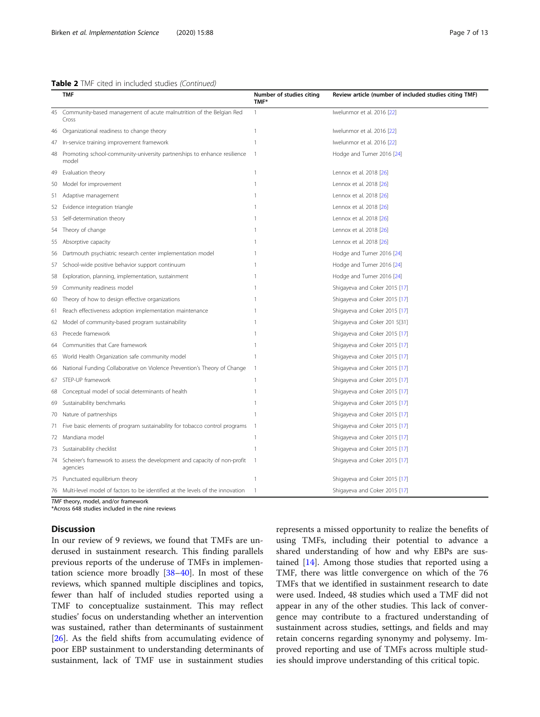|     | TMF                                                                                   | Number of studies citing<br>TMF* | Review article (number of included studies citing TMF) |
|-----|---------------------------------------------------------------------------------------|----------------------------------|--------------------------------------------------------|
| 45  | Community-based management of acute malnutrition of the Belgian Red<br>Cross          | $\mathbf{1}$                     | Iwelunmor et al. 2016 [22]                             |
| 46  | Organizational readiness to change theory                                             | 1                                | Iwelunmor et al. 2016 [22]                             |
| 47  | In-service training improvement framework                                             | $\mathbf{1}$                     | Iwelunmor et al. 2016 [22]                             |
| 48  | Promoting school-community-university partnerships to enhance resilience<br>model     | $\overline{1}$                   | Hodge and Turner 2016 [24]                             |
| 49  | Evaluation theory                                                                     | $\mathbf{1}$                     | Lennox et al. 2018 [26]                                |
| 50  | Model for improvement                                                                 | $\mathbf{1}$                     | Lennox et al. 2018 [26]                                |
| 51  | Adaptive management                                                                   | 1                                | Lennox et al. 2018 [26]                                |
| 52  | Evidence integration triangle                                                         | 1                                | Lennox et al. 2018 [26]                                |
| 53  | Self-determination theory                                                             | 1                                | Lennox et al. 2018 [26]                                |
| 54  | Theory of change                                                                      | $\mathbf{1}$                     | Lennox et al. 2018 [26]                                |
| 55  | Absorptive capacity                                                                   |                                  | Lennox et al. 2018 [26]                                |
| 56  | Dartmouth psychiatric research center implementation model                            | 1                                | Hodge and Turner 2016 [24]                             |
| 57  | School-wide positive behavior support continuum                                       | 1                                | Hodge and Turner 2016 [24]                             |
| 58  | Exploration, planning, implementation, sustainment                                    | 1                                | Hodge and Turner 2016 [24]                             |
| 59  | Community readiness model                                                             | $\mathbf{1}$                     | Shigayeva and Coker 2015 [17]                          |
| 60  | Theory of how to design effective organizations                                       | 1                                | Shigayeva and Coker 2015 [17]                          |
| 61  | Reach effectiveness adoption implementation maintenance                               | 1                                | Shigayeva and Coker 2015 [17]                          |
| 62  | Model of community-based program sustainability                                       |                                  | Shigayeva and Coker 201 5[31]                          |
| 63  | Precede framework                                                                     | 1                                | Shigayeva and Coker 2015 [17]                          |
| 64  | Communities that Care framework                                                       | 1                                | Shigayeva and Coker 2015 [17]                          |
| 65  | World Health Organization safe community model                                        | $\mathbf{1}$                     | Shigayeva and Coker 2015 [17]                          |
| 66  | National Funding Collaborative on Violence Prevention's Theory of Change              | 1                                | Shigayeva and Coker 2015 [17]                          |
| 67  | STEP-UP framework                                                                     | $\mathbf{1}$                     | Shigayeva and Coker 2015 [17]                          |
| 68  | Conceptual model of social determinants of health                                     |                                  | Shigayeva and Coker 2015 [17]                          |
| 69  | Sustainability benchmarks                                                             | 1                                | Shigayeva and Coker 2015 [17]                          |
| 70  | Nature of partnerships                                                                | $\mathbf{1}$                     | Shigayeva and Coker 2015 [17]                          |
| 71. | Five basic elements of program sustainability for tobacco control programs            | 1                                | Shigayeva and Coker 2015 [17]                          |
| 72  | Mandiana model                                                                        | 1                                | Shigayeva and Coker 2015 [17]                          |
| 73  | Sustainability checklist                                                              | $\mathbf{1}$                     | Shigayeva and Coker 2015 [17]                          |
| 74  | Scheirer's framework to assess the development and capacity of non-profit<br>agencies | $\overline{1}$                   | Shigayeva and Coker 2015 [17]                          |
| 75  | Punctuated equilibrium theory                                                         | $\mathbf{1}$                     | Shigayeva and Coker 2015 [17]                          |
| 76  | Multi-level model of factors to be identified at the levels of the innovation         | 1                                | Shigayeva and Coker 2015 [17]                          |
|     | TMF theory, model, and/or framework                                                   |                                  |                                                        |

TMF theory, model, and/or framework \*Across 648 studies included in the nine reviews

## Discussion

In our review of 9 reviews, we found that TMFs are underused in sustainment research. This finding parallels previous reports of the underuse of TMFs in implementation science more broadly [\[38](#page-12-0)–[40\]](#page-12-0). In most of these reviews, which spanned multiple disciplines and topics, fewer than half of included studies reported using a TMF to conceptualize sustainment. This may reflect studies' focus on understanding whether an intervention was sustained, rather than determinants of sustainment [[26\]](#page-12-0). As the field shifts from accumulating evidence of poor EBP sustainment to understanding determinants of sustainment, lack of TMF use in sustainment studies represents a missed opportunity to realize the benefits of using TMFs, including their potential to advance a shared understanding of how and why EBPs are sustained [\[14\]](#page-12-0). Among those studies that reported using a TMF, there was little convergence on which of the 76 TMFs that we identified in sustainment research to date were used. Indeed, 48 studies which used a TMF did not appear in any of the other studies. This lack of convergence may contribute to a fractured understanding of sustainment across studies, settings, and fields and may retain concerns regarding synonymy and polysemy. Improved reporting and use of TMFs across multiple studies should improve understanding of this critical topic.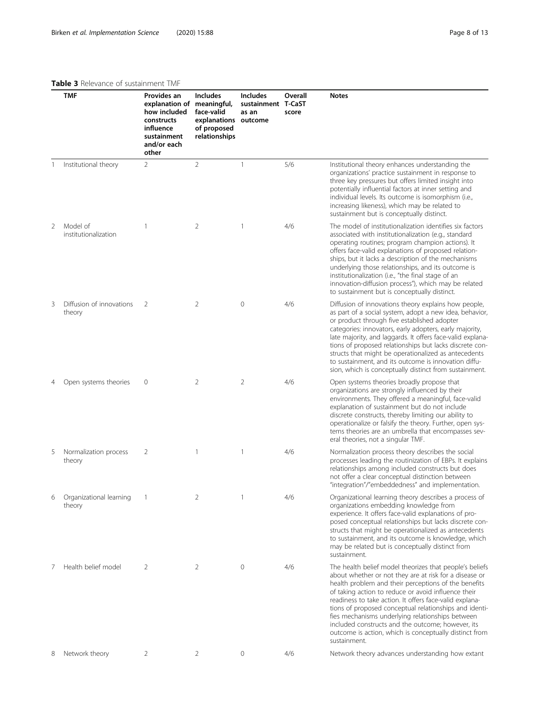## <span id="page-7-0"></span>Table 3 Relevance of sustainment TMF

|   | <b>TMF</b>                         | Provides an<br>explanation of<br>how included<br>constructs<br>influence<br>sustainment<br>and/or each<br>other | <b>Includes</b><br>meaningful,<br>face-valid<br>explanations outcome<br>of proposed<br>relationships | <b>Includes</b><br>sustainment T-CaST<br>as an | Overall<br>score | <b>Notes</b>                                                                                                                                                                                                                                                                                                                                                                                                                                                                                                                             |
|---|------------------------------------|-----------------------------------------------------------------------------------------------------------------|------------------------------------------------------------------------------------------------------|------------------------------------------------|------------------|------------------------------------------------------------------------------------------------------------------------------------------------------------------------------------------------------------------------------------------------------------------------------------------------------------------------------------------------------------------------------------------------------------------------------------------------------------------------------------------------------------------------------------------|
| 1 | Institutional theory               | $\overline{2}$                                                                                                  | $\overline{2}$                                                                                       | 1                                              | 5/6              | Institutional theory enhances understanding the<br>organizations' practice sustainment in response to<br>three key pressures but offers limited insight into<br>potentially influential factors at inner setting and<br>individual levels. Its outcome is isomorphism (i.e.,<br>increasing likeness), which may be related to<br>sustainment but is conceptually distinct.                                                                                                                                                               |
| 2 | Model of<br>institutionalization   | $\overline{1}$                                                                                                  | 2                                                                                                    | $\mathbf{1}$                                   | 4/6              | The model of institutionalization identifies six factors<br>associated with institutionalization (e.g., standard<br>operating routines; program champion actions). It<br>offers face-valid explanations of proposed relation-<br>ships, but it lacks a description of the mechanisms<br>underlying those relationships, and its outcome is<br>institutionalization (i.e., "the final stage of an<br>innovation-diffusion process"), which may be related<br>to sustainment but is conceptually distinct.                                 |
| 3 | Diffusion of innovations<br>theory | 2                                                                                                               | 2                                                                                                    | 0                                              | 4/6              | Diffusion of innovations theory explains how people,<br>as part of a social system, adopt a new idea, behavior,<br>or product through five established adopter<br>categories: innovators, early adopters, early majority,<br>late majority, and laggards. It offers face-valid explana-<br>tions of proposed relationships but lacks discrete con-<br>structs that might be operationalized as antecedents<br>to sustainment, and its outcome is innovation diffu-<br>sion, which is conceptually distinct from sustainment.             |
| 4 | Open systems theories              | $\mathbf 0$                                                                                                     | 2                                                                                                    | 2                                              | 4/6              | Open systems theories broadly propose that<br>organizations are strongly influenced by their<br>environments. They offered a meaningful, face-valid<br>explanation of sustainment but do not include<br>discrete constructs, thereby limiting our ability to<br>operationalize or falsify the theory. Further, open sys-<br>tems theories are an umbrella that encompasses sev-<br>eral theories, not a singular TMF.                                                                                                                    |
| 5 | Normalization process<br>theory    | 2                                                                                                               | 1                                                                                                    | $\mathbf{1}$                                   | 4/6              | Normalization process theory describes the social<br>processes leading the routinization of EBPs. It explains<br>relationships among included constructs but does<br>not offer a clear conceptual distinction between<br>"integration"/"embeddedness" and implementation.                                                                                                                                                                                                                                                                |
| 6 | Organizational learning<br>theory  | $\perp$                                                                                                         | 2                                                                                                    |                                                | 4/6              | Organizational learning theory describes a process of<br>organizations embedding knowledge from<br>experience. It offers face-valid explanations of pro-<br>posed conceptual relationships but lacks discrete con-<br>structs that might be operationalized as antecedents<br>to sustainment, and its outcome is knowledge, which<br>may be related but is conceptually distinct from<br>sustainment.                                                                                                                                    |
| 7 | Health belief model                | 2                                                                                                               | 2                                                                                                    | $\mathbf{0}$                                   | 4/6              | The health belief model theorizes that people's beliefs<br>about whether or not they are at risk for a disease or<br>health problem and their perceptions of the benefits<br>of taking action to reduce or avoid influence their<br>readiness to take action. It offers face-valid explana-<br>tions of proposed conceptual relationships and identi-<br>fies mechanisms underlying relationships between<br>included constructs and the outcome; however, its<br>outcome is action, which is conceptually distinct from<br>sustainment. |
| 8 | Network theory                     | 2                                                                                                               | 2                                                                                                    | 0                                              | 4/6              | Network theory advances understanding how extant                                                                                                                                                                                                                                                                                                                                                                                                                                                                                         |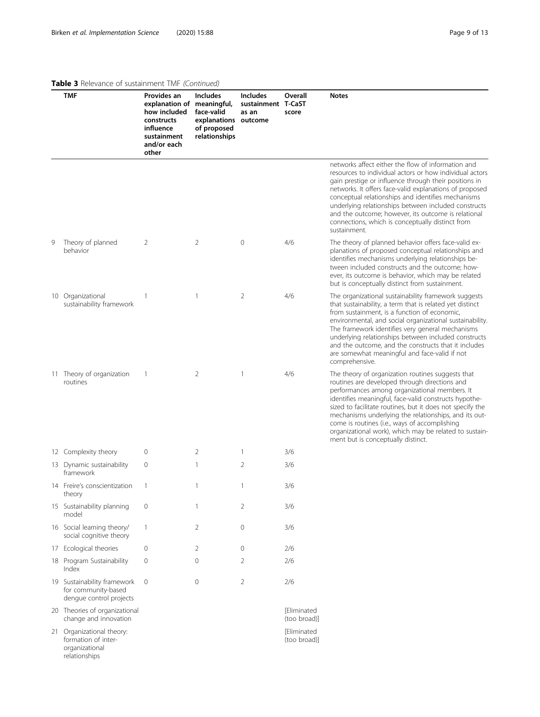## Table 3 Relevance of sustainment TMF (Continued)

relationships

|   | <b>TMF</b>                                                                    | Provides an<br>explanation of<br>how included<br>constructs<br>influence<br>sustainment<br>and/or each<br>other | <b>Includes</b><br>meaningful,<br>face-valid<br>explanations outcome<br>of proposed<br>relationships | Includes<br>sustainment T-CaST<br>as an | Overall<br>score            | <b>Notes</b>                                                                                                                                                                                                                                                                                                                                                                                                                                                                        |
|---|-------------------------------------------------------------------------------|-----------------------------------------------------------------------------------------------------------------|------------------------------------------------------------------------------------------------------|-----------------------------------------|-----------------------------|-------------------------------------------------------------------------------------------------------------------------------------------------------------------------------------------------------------------------------------------------------------------------------------------------------------------------------------------------------------------------------------------------------------------------------------------------------------------------------------|
|   |                                                                               |                                                                                                                 |                                                                                                      |                                         |                             | networks affect either the flow of information and<br>resources to individual actors or how individual actors<br>gain prestige or influence through their positions in<br>networks. It offers face-valid explanations of proposed<br>conceptual relationships and identifies mechanisms<br>underlying relationships between included constructs<br>and the outcome; however, its outcome is relational<br>connections, which is conceptually distinct from<br>sustainment.          |
| 9 | Theory of planned<br>behavior                                                 | 2                                                                                                               | $\overline{2}$                                                                                       | $\mathbf 0$                             | 4/6                         | The theory of planned behavior offers face-valid ex-<br>planations of proposed conceptual relationships and<br>identifies mechanisms underlying relationships be-<br>tween included constructs and the outcome; how-<br>ever, its outcome is behavior, which may be related<br>but is conceptually distinct from sustainment.                                                                                                                                                       |
|   | 10 Organizational<br>sustainability framework                                 | $\mathbf{1}$                                                                                                    | 1                                                                                                    | 2                                       | 4/6                         | The organizational sustainability framework suggests<br>that sustainability, a term that is related yet distinct<br>from sustainment, is a function of economic,<br>environmental, and social organizational sustainability.<br>The framework identifies very general mechanisms<br>underlying relationships between included constructs<br>and the outcome, and the constructs that it includes<br>are somewhat meaningful and face-valid if not<br>comprehensive.                 |
|   | 11 Theory of organization<br>routines                                         | $\mathbf{1}$                                                                                                    | 2                                                                                                    | -1                                      | 4/6                         | The theory of organization routines suggests that<br>routines are developed through directions and<br>performances among organizational members. It<br>identifies meaningful, face-valid constructs hypothe-<br>sized to facilitate routines, but it does not specify the<br>mechanisms underlying the relationships, and its out-<br>come is routines (i.e., ways of accomplishing<br>organizational work), which may be related to sustain-<br>ment but is conceptually distinct. |
|   | 12 Complexity theory                                                          | $\mathbf 0$                                                                                                     | 2                                                                                                    |                                         | 3/6                         |                                                                                                                                                                                                                                                                                                                                                                                                                                                                                     |
|   | 13 Dynamic sustainability<br>framework                                        | $\mathbf{0}$                                                                                                    | $\mathbf{1}$                                                                                         | 2                                       | 3/6                         |                                                                                                                                                                                                                                                                                                                                                                                                                                                                                     |
|   | 14 Freire's conscientization<br>theory                                        | $\mathbf{1}$                                                                                                    | 1                                                                                                    | 1                                       | 3/6                         |                                                                                                                                                                                                                                                                                                                                                                                                                                                                                     |
|   | 15 Sustainability planning<br>model                                           | $\mathbf 0$                                                                                                     | 1                                                                                                    | 2                                       | 3/6                         |                                                                                                                                                                                                                                                                                                                                                                                                                                                                                     |
|   | 16 Social learning theory/<br>social cognitive theory                         | $\mathbf{1}$                                                                                                    | 2                                                                                                    | 0                                       | 3/6                         |                                                                                                                                                                                                                                                                                                                                                                                                                                                                                     |
|   | 17 Ecological theories                                                        | $\mathbf 0$                                                                                                     | 2                                                                                                    | $\mathbf{0}$                            | 2/6                         |                                                                                                                                                                                                                                                                                                                                                                                                                                                                                     |
|   | 18 Program Sustainability<br>Index                                            | $\mathbf 0$                                                                                                     | 0                                                                                                    | 2                                       | 2/6                         |                                                                                                                                                                                                                                                                                                                                                                                                                                                                                     |
|   | 19 Sustainability framework<br>for community-based<br>dengue control projects | $\mathbf 0$                                                                                                     | 0                                                                                                    | $\overline{2}$                          | 2/6                         |                                                                                                                                                                                                                                                                                                                                                                                                                                                                                     |
|   | 20 Theories of organizational<br>change and innovation                        |                                                                                                                 |                                                                                                      |                                         | [Eliminated<br>(too broad)] |                                                                                                                                                                                                                                                                                                                                                                                                                                                                                     |
|   | 21 Organizational theory:<br>formation of inter-<br>organizational            |                                                                                                                 |                                                                                                      |                                         | [Eliminated<br>(too broad)] |                                                                                                                                                                                                                                                                                                                                                                                                                                                                                     |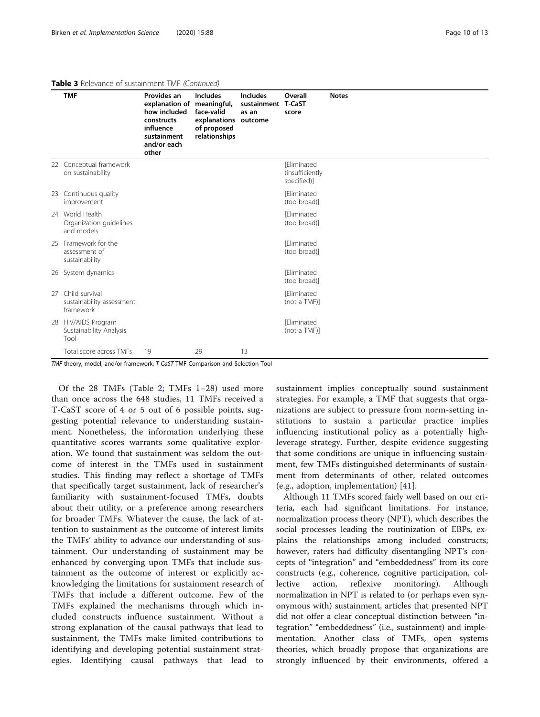## Table 3 Relevance of sustainment TMF (Continued)

|    | <b>TMF</b>                                               | Provides an<br>explanation of<br>how included<br>constructs<br>influence<br>sustainment<br>and/or each<br>other | <b>Includes</b><br>meaningful,<br>face-valid<br>explanations<br>of proposed<br>relationships | <b>Includes</b><br>sustainment T-CaST<br>as an<br>outcome | Overall<br>score                                     | <b>Notes</b> |
|----|----------------------------------------------------------|-----------------------------------------------------------------------------------------------------------------|----------------------------------------------------------------------------------------------|-----------------------------------------------------------|------------------------------------------------------|--------------|
|    | 22 Conceptual framework<br>on sustainability             |                                                                                                                 |                                                                                              |                                                           | <b>[Eliminated</b><br>(insufficiently<br>specified)] |              |
| 23 | Continuous quality<br>improvement                        |                                                                                                                 |                                                                                              |                                                           | <b>[Eliminated</b><br>(too broad)]                   |              |
|    | 24 World Health<br>Organization guidelines<br>and models |                                                                                                                 |                                                                                              |                                                           | <b>[Eliminated</b><br>(too broad)]                   |              |
|    | 25 Framework for the<br>assessment of<br>sustainability  |                                                                                                                 |                                                                                              |                                                           | <b>Fliminated</b><br>(too broad)]                    |              |
|    | 26 System dynamics                                       |                                                                                                                 |                                                                                              |                                                           | <b>Fliminated</b><br>(too broad)]                    |              |
| 27 | Child survival<br>sustainability assessment<br>framework |                                                                                                                 |                                                                                              |                                                           | <b>[Eliminated</b><br>(not a TMF)]                   |              |
|    | 28 HIV/AIDS Program<br>Sustainability Analysis<br>Tool   |                                                                                                                 |                                                                                              |                                                           | <b>Fliminated</b><br>(not a TMF)]                    |              |
|    | Total score across TMFs                                  | 19                                                                                                              | 29                                                                                           | 13                                                        |                                                      |              |

TMF theory, model, and/or framework; T-CaST TMF Comparison and Selection Tool

Of the 28 TMFs (Table [2](#page-5-0); TMFs 1–28) used more than once across the 648 studies, 11 TMFs received a T-CaST score of 4 or 5 out of 6 possible points, suggesting potential relevance to understanding sustainment. Nonetheless, the information underlying these quantitative scores warrants some qualitative exploration. We found that sustainment was seldom the outcome of interest in the TMFs used in sustainment studies. This finding may reflect a shortage of TMFs that specifically target sustainment, lack of researcher's familiarity with sustainment-focused TMFs, doubts about their utility, or a preference among researchers for broader TMFs. Whatever the cause, the lack of attention to sustainment as the outcome of interest limits the TMFs' ability to advance our understanding of sustainment. Our understanding of sustainment may be enhanced by converging upon TMFs that include sustainment as the outcome of interest or explicitly acknowledging the limitations for sustainment research of TMFs that include a different outcome. Few of the TMFs explained the mechanisms through which included constructs influence sustainment. Without a strong explanation of the causal pathways that lead to sustainment, the TMFs make limited contributions to identifying and developing potential sustainment strategies. Identifying causal pathways that lead to

sustainment implies conceptually sound sustainment strategies. For example, a TMF that suggests that organizations are subject to pressure from norm-setting institutions to sustain a particular practice implies influencing institutional policy as a potentially highleverage strategy. Further, despite evidence suggesting that some conditions are unique in influencing sustainment, few TMFs distinguished determinants of sustainment from determinants of other, related outcomes (e.g., adoption, implementation) [\[41](#page-12-0)].

Although 11 TMFs scored fairly well based on our criteria, each had significant limitations. For instance, normalization process theory (NPT), which describes the social processes leading the routinization of EBPs, explains the relationships among included constructs; however, raters had difficulty disentangling NPT's concepts of "integration" and "embeddedness" from its core constructs (e.g., coherence, cognitive participation, collective action, reflexive monitoring). Although normalization in NPT is related to (or perhaps even synonymous with) sustainment, articles that presented NPT did not offer a clear conceptual distinction between "integration" "embeddedness" (i.e., sustainment) and implementation. Another class of TMFs, open systems theories, which broadly propose that organizations are strongly influenced by their environments, offered a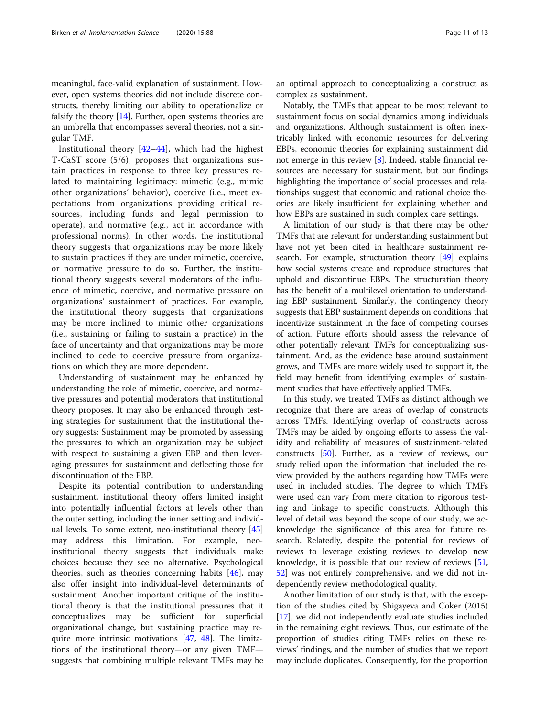meaningful, face-valid explanation of sustainment. However, open systems theories did not include discrete constructs, thereby limiting our ability to operationalize or falsify the theory [\[14\]](#page-12-0). Further, open systems theories are an umbrella that encompasses several theories, not a singular TMF.

Institutional theory [[42](#page-12-0)–[44](#page-12-0)], which had the highest T-CaST score (5/6), proposes that organizations sustain practices in response to three key pressures related to maintaining legitimacy: mimetic (e.g., mimic other organizations' behavior), coercive (i.e., meet expectations from organizations providing critical resources, including funds and legal permission to operate), and normative (e.g., act in accordance with professional norms). In other words, the institutional theory suggests that organizations may be more likely to sustain practices if they are under mimetic, coercive, or normative pressure to do so. Further, the institutional theory suggests several moderators of the influence of mimetic, coercive, and normative pressure on organizations' sustainment of practices. For example, the institutional theory suggests that organizations may be more inclined to mimic other organizations (i.e., sustaining or failing to sustain a practice) in the face of uncertainty and that organizations may be more inclined to cede to coercive pressure from organizations on which they are more dependent.

Understanding of sustainment may be enhanced by understanding the role of mimetic, coercive, and normative pressures and potential moderators that institutional theory proposes. It may also be enhanced through testing strategies for sustainment that the institutional theory suggests: Sustainment may be promoted by assessing the pressures to which an organization may be subject with respect to sustaining a given EBP and then leveraging pressures for sustainment and deflecting those for discontinuation of the EBP.

Despite its potential contribution to understanding sustainment, institutional theory offers limited insight into potentially influential factors at levels other than the outer setting, including the inner setting and individual levels. To some extent, neo-institutional theory [[45](#page-12-0)] may address this limitation. For example, neoinstitutional theory suggests that individuals make choices because they see no alternative. Psychological theories, such as theories concerning habits [\[46](#page-12-0)], may also offer insight into individual-level determinants of sustainment. Another important critique of the institutional theory is that the institutional pressures that it conceptualizes may be sufficient for superficial organizational change, but sustaining practice may require more intrinsic motivations [[47](#page-12-0), [48\]](#page-12-0). The limitations of the institutional theory—or any given TMF suggests that combining multiple relevant TMFs may be

an optimal approach to conceptualizing a construct as complex as sustainment.

Notably, the TMFs that appear to be most relevant to sustainment focus on social dynamics among individuals and organizations. Although sustainment is often inextricably linked with economic resources for delivering EBPs, economic theories for explaining sustainment did not emerge in this review [\[8](#page-11-0)]. Indeed, stable financial resources are necessary for sustainment, but our findings highlighting the importance of social processes and relationships suggest that economic and rational choice theories are likely insufficient for explaining whether and how EBPs are sustained in such complex care settings.

A limitation of our study is that there may be other TMFs that are relevant for understanding sustainment but have not yet been cited in healthcare sustainment research. For example, structuration theory [\[49\]](#page-12-0) explains how social systems create and reproduce structures that uphold and discontinue EBPs. The structuration theory has the benefit of a multilevel orientation to understanding EBP sustainment. Similarly, the contingency theory suggests that EBP sustainment depends on conditions that incentivize sustainment in the face of competing courses of action. Future efforts should assess the relevance of other potentially relevant TMFs for conceptualizing sustainment. And, as the evidence base around sustainment grows, and TMFs are more widely used to support it, the field may benefit from identifying examples of sustainment studies that have effectively applied TMFs.

In this study, we treated TMFs as distinct although we recognize that there are areas of overlap of constructs across TMFs. Identifying overlap of constructs across TMFs may be aided by ongoing efforts to assess the validity and reliability of measures of sustainment-related constructs [\[50\]](#page-12-0). Further, as a review of reviews, our study relied upon the information that included the review provided by the authors regarding how TMFs were used in included studies. The degree to which TMFs were used can vary from mere citation to rigorous testing and linkage to specific constructs. Although this level of detail was beyond the scope of our study, we acknowledge the significance of this area for future research. Relatedly, despite the potential for reviews of reviews to leverage existing reviews to develop new knowledge, it is possible that our review of reviews [[51](#page-12-0), [52\]](#page-12-0) was not entirely comprehensive, and we did not independently review methodological quality.

Another limitation of our study is that, with the exception of the studies cited by Shigayeva and Coker (2015) [[17\]](#page-12-0), we did not independently evaluate studies included in the remaining eight reviews. Thus, our estimate of the proportion of studies citing TMFs relies on these reviews' findings, and the number of studies that we report may include duplicates. Consequently, for the proportion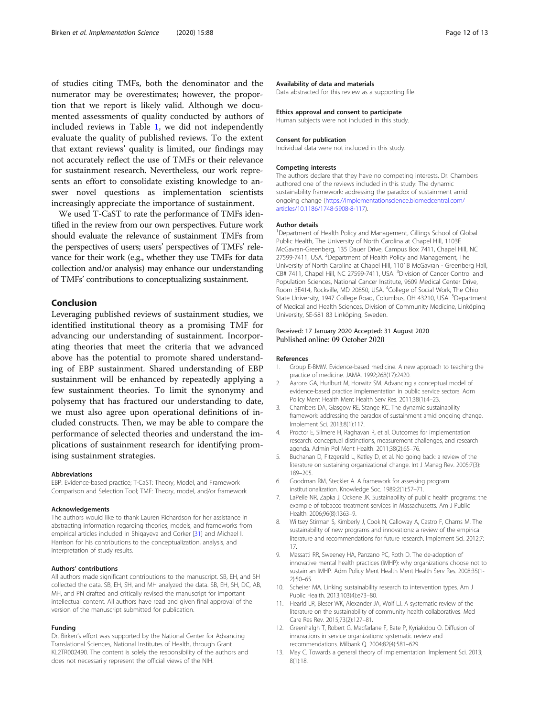<span id="page-11-0"></span>of studies citing TMFs, both the denominator and the numerator may be overestimates; however, the proportion that we report is likely valid. Although we documented assessments of quality conducted by authors of included reviews in Table [1](#page-4-0), we did not independently evaluate the quality of published reviews. To the extent that extant reviews' quality is limited, our findings may not accurately reflect the use of TMFs or their relevance for sustainment research. Nevertheless, our work represents an effort to consolidate existing knowledge to answer novel questions as implementation scientists increasingly appreciate the importance of sustainment.

We used T-CaST to rate the performance of TMFs identified in the review from our own perspectives. Future work should evaluate the relevance of sustainment TMFs from the perspectives of users; users' perspectives of TMFs' relevance for their work (e.g., whether they use TMFs for data collection and/or analysis) may enhance our understanding of TMFs' contributions to conceptualizing sustainment.

#### Conclusion

Leveraging published reviews of sustainment studies, we identified institutional theory as a promising TMF for advancing our understanding of sustainment. Incorporating theories that meet the criteria that we advanced above has the potential to promote shared understanding of EBP sustainment. Shared understanding of EBP sustainment will be enhanced by repeatedly applying a few sustainment theories. To limit the synonymy and polysemy that has fractured our understanding to date, we must also agree upon operational definitions of included constructs. Then, we may be able to compare the performance of selected theories and understand the implications of sustainment research for identifying promising sustainment strategies.

#### Abbreviations

EBP: Evidence-based practice; T-CaST: Theory, Model, and Framework Comparison and Selection Tool; TMF: Theory, model, and/or framework

#### Acknowledgements

The authors would like to thank Lauren Richardson for her assistance in abstracting information regarding theories, models, and frameworks from empirical articles included in Shigayeva and Corker [[31\]](#page-12-0) and Michael I. Harrison for his contributions to the conceptualization, analysis, and interpretation of study results.

#### Authors' contributions

All authors made significant contributions to the manuscript. SB, EH, and SH collected the data. SB, EH, SH, and MH analyzed the data. SB, EH, SH, DC, AB, MH, and PN drafted and critically revised the manuscript for important intellectual content. All authors have read and given final approval of the version of the manuscript submitted for publication.

#### Funding

Dr. Birken's effort was supported by the National Center for Advancing Translational Sciences, National Institutes of Health, through Grant KL2TR002490. The content is solely the responsibility of the authors and does not necessarily represent the official views of the NIH.

#### Availability of data and materials

Data abstracted for this review as a supporting file.

#### Ethics approval and consent to participate

Human subjects were not included in this study.

#### Consent for publication

Individual data were not included in this study.

#### Competing interests

The authors declare that they have no competing interests. Dr. Chambers authored one of the reviews included in this study: The dynamic sustainability framework: addressing the paradox of sustainment amid ongoing change [\(https://implementationscience.biomedcentral.com/](https://implementationscience.biomedcentral.com/articles/10.1186/1748-5908-8-117) [articles/10.1186/1748-5908-8-117](https://implementationscience.biomedcentral.com/articles/10.1186/1748-5908-8-117)).

#### Author details

<sup>1</sup>Department of Health Policy and Management, Gillings School of Global Public Health, The University of North Carolina at Chapel Hill, 1103E McGavran-Greenberg, 135 Dauer Drive, Campus Box 7411, Chapel Hill, NC 27599-7411, USA. <sup>2</sup>Department of Health Policy and Management, The University of North Carolina at Chapel Hill, 1101B McGavran - Greenberg Hall, CB# 7411, Chapel Hill, NC 27599-7411, USA. <sup>3</sup>Division of Cancer Control and Population Sciences, National Cancer Institute, 9609 Medical Center Drive, Room 3E414, Rockville, MD 20850, USA. <sup>4</sup>College of Social Work, The Ohio State University, 1947 College Road, Columbus, OH 43210, USA. <sup>5</sup>Department of Medical and Health Sciences, Division of Community Medicine, Linköping University, SE-581 83 Linköping, Sweden.

### Received: 17 January 2020 Accepted: 31 August 2020 Published online: 09 October 2020

#### References

- 1. Group E-BMW. Evidence-based medicine. A new approach to teaching the practice of medicine. JAMA. 1992;268(17):2420.
- 2. Aarons GA, Hurlburt M, Horwitz SM. Advancing a conceptual model of evidence-based practice implementation in public service sectors. Adm Policy Ment Health Ment Health Serv Res. 2011;38(1):4–23.
- 3. Chambers DA, Glasgow RE, Stange KC. The dynamic sustainability framework: addressing the paradox of sustainment amid ongoing change. Implement Sci. 2013;8(1):117.
- 4. Proctor E, Silmere H, Raghavan R, et al. Outcomes for implementation research: conceptual distinctions, measurement challenges, and research agenda. Admin Pol Ment Health. 2011;38(2):65–76.
- 5. Buchanan D, Fitzgerald L, Ketley D, et al. No going back: a review of the literature on sustaining organizational change. Int J Manag Rev. 2005;7(3): 189–205.
- 6. Goodman RM, Steckler A. A framework for assessing program institutionalization. Knowledge Soc. 1989;2(1):57–71.
- 7. LaPelle NR, Zapka J, Ockene JK. Sustainability of public health programs: the example of tobacco treatment services in Massachusetts. Am J Public Health. 2006;96(8):1363–9.
- 8. Wiltsey Stirman S, Kimberly J, Cook N, Calloway A, Castro F, Charns M. The sustainability of new programs and innovations: a review of the empirical literature and recommendations for future research. Implement Sci. 2012;7: 17.
- 9. Massatti RR, Sweeney HA, Panzano PC, Roth D. The de-adoption of innovative mental health practices (IMHP): why organizations choose not to sustain an IMHP. Adm Policy Ment Health Ment Health Serv Res. 2008;35(1- 2):50–65.
- 10. Scheirer MA. Linking sustainability research to intervention types. Am J Public Health. 2013;103(4):e73–80.
- 11. Hearld LR, Bleser WK, Alexander JA, Wolf LJ. A systematic review of the literature on the sustainability of community health collaboratives. Med Care Res Rev. 2015;73(2):127–81.
- 12. Greenhalgh T, Robert G, Macfarlane F, Bate P, Kyriakidou O. Diffusion of innovations in service organizations: systematic review and recommendations. Milbank Q. 2004;82(4):581–629.
- 13. May C. Towards a general theory of implementation. Implement Sci. 2013; 8(1):18.